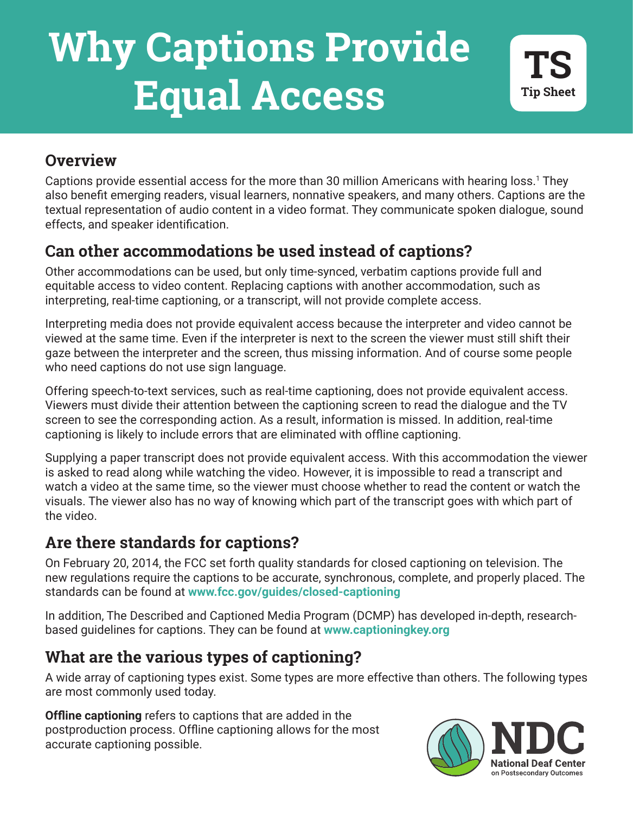# **Why Captions Provide Equal Access**

#### **Overview**

Captions provide essential access for the more than 30 million Americans with hearing loss.1 They also benefit emerging readers, visual learners, nonnative speakers, and many others. Captions are the textual representation of audio content in a video format. They communicate spoken dialogue, sound effects, and speaker identification.

## **Can other accommodations be used instead of captions?**

Other accommodations can be used, but only time-synced, verbatim captions provide full and equitable access to video content. Replacing captions with another accommodation, such as interpreting, real-time captioning, or a transcript, will not provide complete access.

Interpreting media does not provide equivalent access because the interpreter and video cannot be viewed at the same time. Even if the interpreter is next to the screen the viewer must still shift their gaze between the interpreter and the screen, thus missing information. And of course some people who need captions do not use sign language.

Offering speech-to-text services, such as real-time captioning, does not provide equivalent access. Viewers must divide their attention between the captioning screen to read the dialogue and the TV screen to see the corresponding action. As a result, information is missed. In addition, real-time captioning is likely to include errors that are eliminated with offline captioning.

Supplying a paper transcript does not provide equivalent access. With this accommodation the viewer is asked to read along while watching the video. However, it is impossible to read a transcript and watch a video at the same time, so the viewer must choose whether to read the content or watch the visuals. The viewer also has no way of knowing which part of the transcript goes with which part of the video.

### **Are there standards for captions?**

On February 20, 2014, the FCC set forth quality standards for closed captioning on television. The new regulations require the captions to be accurate, synchronous, complete, and properly placed. The standards can be found at **www.fcc.gov/guides/closed-captioning** 

In addition, The Described and Captioned Media Program (DCMP) has developed in-depth, researchbased guidelines for captions. They can be found at **www.captioningkey.org** 

# **What are the various types of captioning?**

A wide array of captioning types exist. Some types are more effective than others. The following types are most commonly used today.

**Example suppressing** collect to suppress that are added in the<br>postproduction process. Offline captioning allows for the most<br>accurate captioning possible. **Offline captioning** refers to captions that are added in the accurate captioning possible.